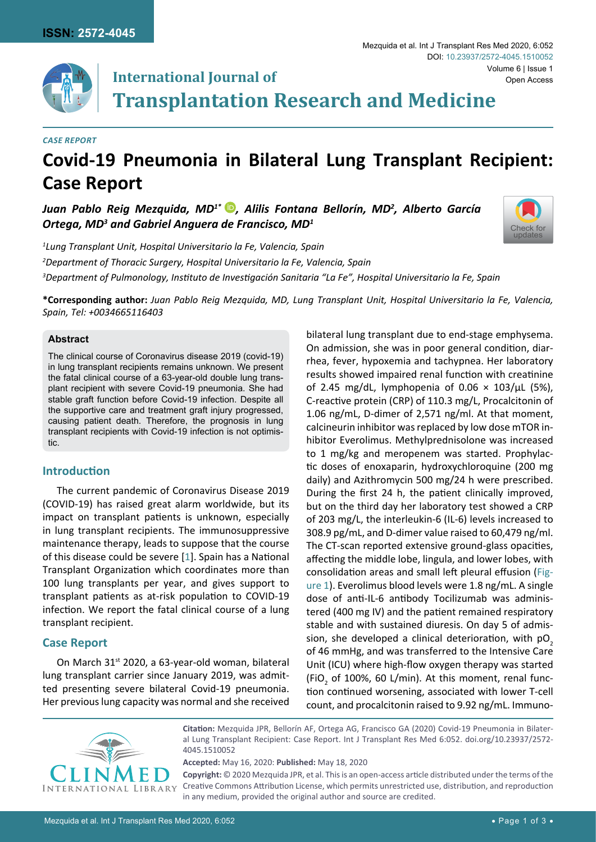

# **International Journal of Transplantation Research and Medicine**

#### *Case Report*

# **Covid-19 Pneumonia in Bilateral Lung Transplant Recipient: Case Report**

*Juan Pablo Reig Mezquida, MD1\* [,](https://orcid.org/0000-0001-6655-8910) Alilis Fontana Bellorín, MD2 , Alberto García Ortega, MD3 and Gabriel Anguera de Francisco, MD1*



*1 Lung Transplant Unit, Hospital Universitario la Fe, Valencia, Spain 2 Department of Thoracic Surgery, Hospital Universitario la Fe, Valencia, Spain 3 Department of Pulmonology, Instituto de Investigación Sanitaria "La Fe", Hospital Universitario la Fe, Spain*

**\*Corresponding author:** *Juan Pablo Reig Mezquida, MD, Lung Transplant Unit, Hospital Universitario la Fe, Valencia, Spain, Tel: +0034665116403*

#### **Abstract**

The clinical course of Coronavirus disease 2019 (covid-19) in lung transplant recipients remains unknown. We present the fatal clinical course of a 63-year-old double lung transplant recipient with severe Covid-19 pneumonia. She had stable graft function before Covid-19 infection. Despite all the supportive care and treatment graft injury progressed, causing patient death. Therefore, the prognosis in lung transplant recipients with Covid-19 infection is not optimistic.

### **Introduction**

The current pandemic of Coronavirus Disease 2019 (COVID-19) has raised great alarm worldwide, but its impact on transplant patients is unknown, especially in lung transplant recipients. The immunosuppressive maintenance therapy, leads to suppose that the course of this disease could be severe [[1](#page-1-1)]. Spain has a National Transplant Organization which coordinates more than 100 lung transplants per year, and gives support to transplant patients as at-risk population to COVID-19 infection. We report the fatal clinical course of a lung transplant recipient.

### **Case Report**

On March 31st 2020, a 63-year-old woman, bilateral lung transplant carrier since January 2019, was admitted presenting severe bilateral Covid-19 pneumonia. Her previous lung capacity was normal and she received bilateral lung transplant due to end-stage emphysema. On admission, she was in poor general condition, diarrhea, fever, hypoxemia and tachypnea. Her laboratory results showed impaired renal function with creatinine of 2.45 mg/dL, lymphopenia of  $0.06 \times 103/\mu$ L (5%), C-reactive protein (CRP) of 110.3 mg/L, Procalcitonin of 1.06 ng/mL, D-dimer of 2,571 ng/ml. At that moment, calcineurin inhibitor was replaced by low dose mTOR inhibitor Everolimus. Methylprednisolone was increased to 1 mg/kg and meropenem was started. Prophylactic doses of enoxaparin, hydroxychloroquine (200 mg daily) and Azithromycin 500 mg/24 h were prescribed. During the first 24 h, the patient clinically improved, but on the third day her laboratory test showed a CRP of 203 mg/L, the interleukin-6 (IL-6) levels increased to 308.9 pg/mL, and D-dimer value raised to 60,479 ng/ml. The CT-scan reported extensive ground-glass opacities, affecting the middle lobe, lingula, and lower lobes, with consolidation areas and small left pleural effusion ([Fig](#page-1-0)[ure 1](#page-1-0)). Everolimus blood levels were 1.8 ng/mL. A single dose of anti-IL-6 antibody Tocilizumab was administered (400 mg IV) and the patient remained respiratory stable and with sustained diuresis. On day 5 of admission, she developed a clinical deterioration, with  $pO<sub>2</sub>$ of 46 mmHg, and was transferred to the Intensive Care Unit (ICU) where high-flow oxygen therapy was started (FiO<sub>2</sub> of 100%, 60 L/min). At this moment, renal function continued worsening, associated with lower T-cell count, and procalcitonin raised to 9.92 ng/mL. Immuno-



**Citation:** Mezquida JPR, Bellorín AF, Ortega AG, Francisco GA (2020) Covid-19 Pneumonia in Bilateral Lung Transplant Recipient: Case Report. Int J Transplant Res Med 6:052. [doi.org/10.23937/2572-](https://doi.org/10.23937/2572-4045.1510052) [4045.1510052](https://doi.org/10.23937/2572-4045.1510052)

**Accepted:** May 16, 2020: **Published:** May 18, 2020

**Copyright:** © 2020 Mezquida JPR, et al. This is an open-access article distributed under the terms of the Creative Commons Attribution License, which permits unrestricted use, distribution, and reproduction in any medium, provided the original author and source are credited.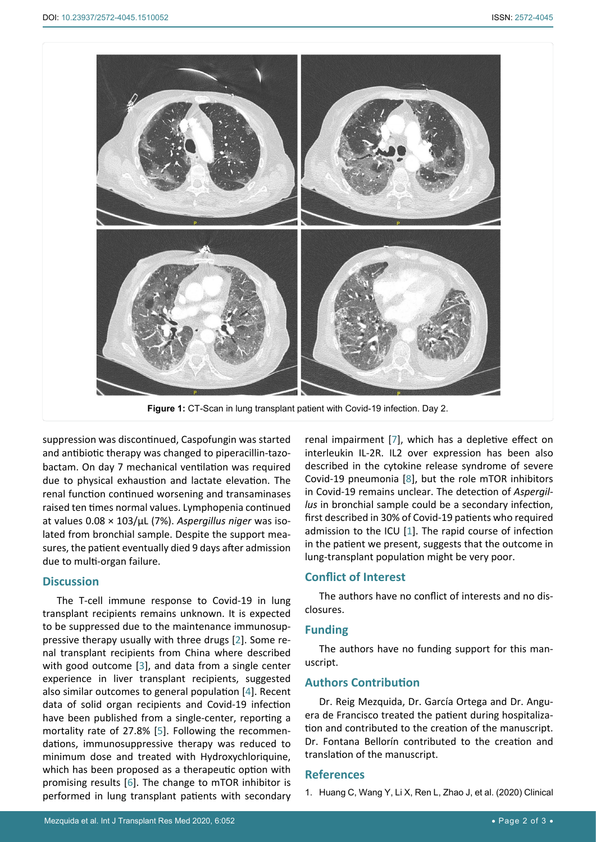<span id="page-1-0"></span>

suppression was discontinued, Caspofungin was started and antibiotic therapy was changed to piperacillin-tazobactam. On day 7 mechanical ventilation was required due to physical exhaustion and lactate elevation. The renal function continued worsening and transaminases raised ten times normal values. Lymphopenia continued at values 0.08 × 103/µL (7%). *Aspergillus niger* was isolated from bronchial sample. Despite the support measures, the patient eventually died 9 days after admission due to multi-organ failure.

### **Discussion**

The T-cell immune response to Covid-19 in lung transplant recipients remains unknown. It is expected to be suppressed due to the maintenance immunosuppressive therapy usually with three drugs [[2\]](#page-2-2). Some renal transplant recipients from China where described with good outcome [[3](#page-2-3)], and data from a single center experience in liver transplant recipients, suggested also similar outcomes to general population [[4\]](#page-2-4). Recent data of solid organ recipients and Covid-19 infection have been published from a single-center, reporting a mortality rate of 27.8% [[5](#page-2-5)]. Following the recommendations, immunosuppressive therapy was reduced to minimum dose and treated with Hydroxychloriquine, which has been proposed as a therapeutic option with promising results [[6](#page-2-6)]. The change to mTOR inhibitor is performed in lung transplant patients with secondary

renal impairment [[7](#page-2-0)], which has a depletive effect on interleukin IL-2R. IL2 over expression has been also described in the cytokine release syndrome of severe Covid-19 pneumonia [[8](#page-2-1)], but the role mTOR inhibitors in Covid-19 remains unclear. The detection of *Aspergillus* in bronchial sample could be a secondary infection, first described in 30% of Covid-19 patients who required admission to the ICU [[1](#page-1-1)]. The rapid course of infection in the patient we present, suggests that the outcome in lung-transplant population might be very poor.

## **Conflict of Interest**

The authors have no conflict of interests and no disclosures.

### **Funding**

The authors have no funding support for this manuscript.

## **Authors Contribution**

Dr. Reig Mezquida, Dr. García Ortega and Dr. Anguera de Francisco treated the patient during hospitalization and contributed to the creation of the manuscript. Dr. Fontana Bellorín contributed to the creation and translation of the manuscript.

### **References**

<span id="page-1-1"></span>1. [Huang C, Wang Y, Li X, Ren L, Zhao J, et al. \(2020\) Clinical](https://www.ncbi.nlm.nih.gov/pubmed/31986264)